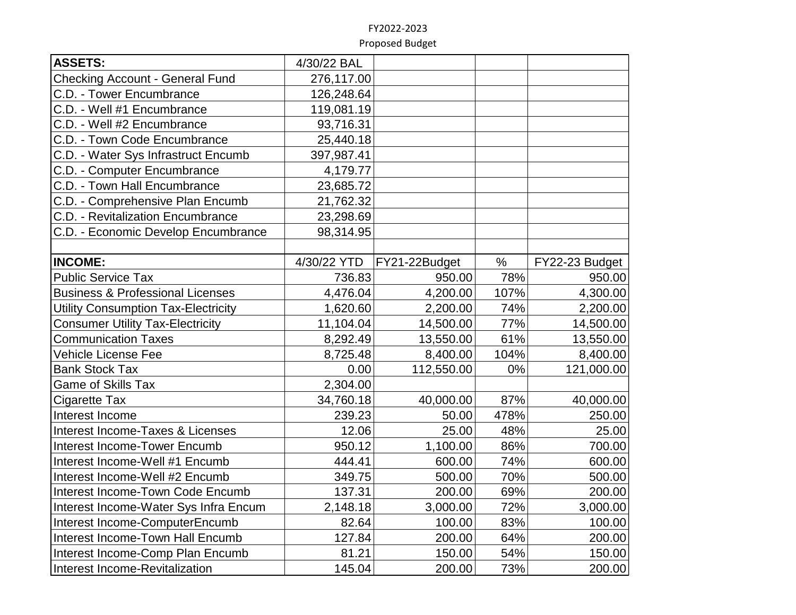| <b>ASSETS:</b>                              | 4/30/22 BAL |               |      |                |
|---------------------------------------------|-------------|---------------|------|----------------|
| Checking Account - General Fund             | 276,117.00  |               |      |                |
| C.D. - Tower Encumbrance                    | 126,248.64  |               |      |                |
| C.D. - Well #1 Encumbrance                  | 119,081.19  |               |      |                |
| C.D. - Well #2 Encumbrance                  | 93,716.31   |               |      |                |
| C.D. - Town Code Encumbrance                | 25,440.18   |               |      |                |
| C.D. - Water Sys Infrastruct Encumb         | 397,987.41  |               |      |                |
| C.D. - Computer Encumbrance                 | 4,179.77    |               |      |                |
| C.D. - Town Hall Encumbrance                | 23,685.72   |               |      |                |
| C.D. - Comprehensive Plan Encumb            | 21,762.32   |               |      |                |
| C.D. - Revitalization Encumbrance           | 23,298.69   |               |      |                |
| C.D. - Economic Develop Encumbrance         | 98,314.95   |               |      |                |
|                                             |             |               |      |                |
| <b>INCOME:</b>                              | 4/30/22 YTD | FY21-22Budget | $\%$ | FY22-23 Budget |
| <b>Public Service Tax</b>                   | 736.83      | 950.00        | 78%  | 950.00         |
| <b>Business &amp; Professional Licenses</b> | 4,476.04    | 4,200.00      | 107% | 4,300.00       |
| Utility Consumption Tax-Electricity         | 1,620.60    | 2,200.00      | 74%  | 2,200.00       |
| <b>Consumer Utility Tax-Electricity</b>     | 11,104.04   | 14,500.00     | 77%  | 14,500.00      |
| <b>Communication Taxes</b>                  | 8,292.49    | 13,550.00     | 61%  | 13,550.00      |
| <b>Vehicle License Fee</b>                  | 8,725.48    | 8,400.00      | 104% | 8,400.00       |
| <b>Bank Stock Tax</b>                       | 0.00        | 112,550.00    | 0%   | 121,000.00     |
| <b>Game of Skills Tax</b>                   | 2,304.00    |               |      |                |
| <b>Cigarette Tax</b>                        | 34,760.18   | 40,000.00     | 87%  | 40,000.00      |
| Interest Income                             | 239.23      | 50.00         | 478% | 250.00         |
| Interest Income-Taxes & Licenses            | 12.06       | 25.00         | 48%  | 25.00          |
| Interest Income-Tower Encumb                | 950.12      | 1,100.00      | 86%  | 700.00         |
| Interest Income-Well #1 Encumb              | 444.41      | 600.00        | 74%  | 600.00         |
| Interest Income-Well #2 Encumb              | 349.75      | 500.00        | 70%  | 500.00         |
| Interest Income-Town Code Encumb            | 137.31      | 200.00        | 69%  | 200.00         |
| Interest Income-Water Sys Infra Encum       | 2,148.18    | 3,000.00      | 72%  | 3,000.00       |
| Interest Income-ComputerEncumb              | 82.64       | 100.00        | 83%  | 100.00         |
| Interest Income-Town Hall Encumb            | 127.84      | 200.00        | 64%  | 200.00         |
| Interest Income-Comp Plan Encumb            | 81.21       | 150.00        | 54%  | 150.00         |
| Interest Income-Revitalization              | 145.04      | 200.00        | 73%  | 200.00         |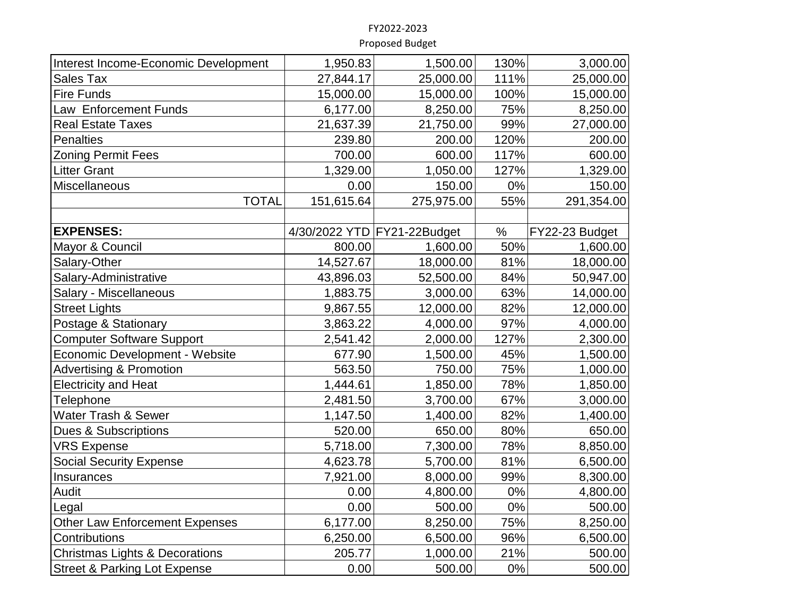| Interest Income-Economic Development      | 1,950.83   | 1,500.00                    | 130%  | 3,000.00       |
|-------------------------------------------|------------|-----------------------------|-------|----------------|
| <b>Sales Tax</b>                          | 27,844.17  | 25,000.00                   | 111%  | 25,000.00      |
| <b>Fire Funds</b>                         | 15,000.00  | 15,000.00                   | 100%  | 15,000.00      |
| Law Enforcement Funds                     | 6,177.00   | 8,250.00                    | 75%   | 8,250.00       |
| <b>Real Estate Taxes</b>                  | 21,637.39  | 21,750.00                   | 99%   | 27,000.00      |
| <b>Penalties</b>                          | 239.80     | 200.00                      | 120%  | 200.00         |
| <b>Zoning Permit Fees</b>                 | 700.00     | 600.00                      | 117%  | 600.00         |
| <b>Litter Grant</b>                       | 1,329.00   | 1,050.00                    | 127%  | 1,329.00       |
| Miscellaneous                             | 0.00       | 150.00                      | 0%    | 150.00         |
| <b>TOTAL</b>                              | 151,615.64 | 275,975.00                  | 55%   | 291,354.00     |
|                                           |            |                             |       |                |
| <b>EXPENSES:</b>                          |            | 4/30/2022 YTD FY21-22Budget | $\%$  | FY22-23 Budget |
| Mayor & Council                           | 800.00     | 1,600.00                    | 50%   | 1,600.00       |
| Salary-Other                              | 14,527.67  | 18,000.00                   | 81%   | 18,000.00      |
| Salary-Administrative                     | 43,896.03  | 52,500.00                   | 84%   | 50,947.00      |
| <b>Salary - Miscellaneous</b>             | 1,883.75   | 3,000.00                    | 63%   | 14,000.00      |
| <b>Street Lights</b>                      | 9,867.55   | 12,000.00                   | 82%   | 12,000.00      |
| Postage & Stationary                      | 3,863.22   | 4,000.00                    | 97%   | 4,000.00       |
| <b>Computer Software Support</b>          | 2,541.42   | 2,000.00                    | 127%  | 2,300.00       |
| Economic Development - Website            | 677.90     | 1,500.00                    | 45%   | 1,500.00       |
| <b>Advertising &amp; Promotion</b>        | 563.50     | 750.00                      | 75%   | 1,000.00       |
| <b>Electricity and Heat</b>               | 1,444.61   | 1,850.00                    | 78%   | 1,850.00       |
| Telephone                                 | 2,481.50   | 3,700.00                    | 67%   | 3,000.00       |
| Water Trash & Sewer                       | 1,147.50   | 1,400.00                    | 82%   | 1,400.00       |
| <b>Dues &amp; Subscriptions</b>           | 520.00     | 650.00                      | 80%   | 650.00         |
| <b>VRS Expense</b>                        | 5,718.00   | 7,300.00                    | 78%   | 8,850.00       |
| <b>Social Security Expense</b>            | 4,623.78   | 5,700.00                    | 81%   | 6,500.00       |
| Insurances                                | 7,921.00   | 8,000.00                    | 99%   | 8,300.00       |
| Audit                                     | 0.00       | 4,800.00                    | $0\%$ | 4,800.00       |
| Legal                                     | 0.00       | 500.00                      | $0\%$ | 500.00         |
| <b>Other Law Enforcement Expenses</b>     | 6,177.00   | 8,250.00                    | 75%   | 8,250.00       |
| Contributions                             | 6,250.00   | 6,500.00                    | 96%   | 6,500.00       |
| <b>Christmas Lights &amp; Decorations</b> | 205.77     | 1,000.00                    | 21%   | 500.00         |
| <b>Street &amp; Parking Lot Expense</b>   | 0.00       | 500.00                      | $0\%$ | 500.00         |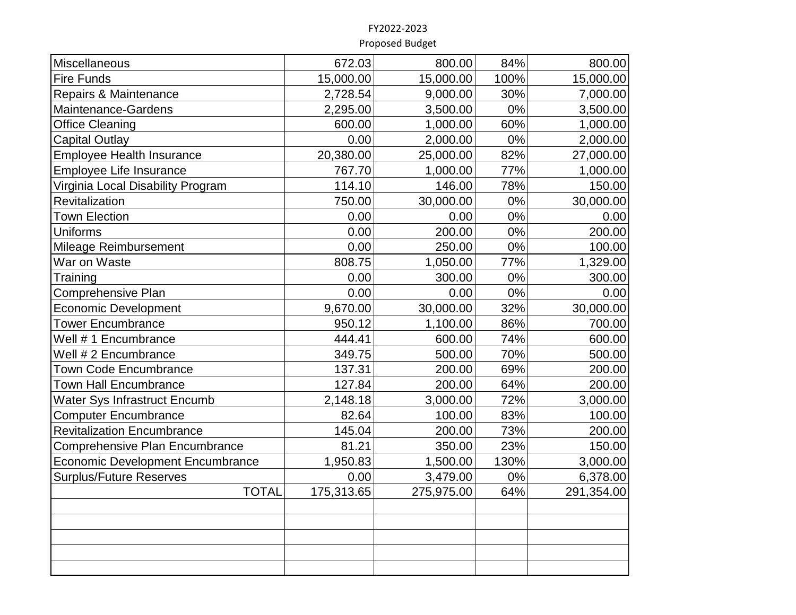| Miscellaneous<br>800.00<br>84%<br>672.03<br><b>Fire Funds</b><br>15,000.00<br>15,000.00<br>100%<br>Repairs & Maintenance<br>2,728.54<br>9,000.00<br>30%<br>0%<br>2,295.00<br>3,500.00<br>Maintenance-Gardens<br><b>Office Cleaning</b><br>600.00<br>1,000.00<br>60%<br>0%<br>0.00<br>2,000.00<br><b>Capital Outlay</b><br>20,380.00<br>25,000.00<br>82%<br>Employee Health Insurance<br>1,000.00<br>77%<br>Employee Life Insurance<br>767.70<br>114.10<br>146.00<br>78%<br>Virginia Local Disability Program<br>0%<br>750.00<br>30,000.00<br>Revitalization<br>0%<br><b>Town Election</b><br>0.00<br>0.00<br><b>Uniforms</b><br>0.00<br>200.00<br>$0\%$<br>Mileage Reimbursement<br>0.00<br>250.00<br>0%<br>808.75<br>1,050.00<br>77%<br>War on Waste<br>0.00<br>300.00<br>0%<br>Training<br>0.00<br>0.00<br>0%<br>Comprehensive Plan<br><b>Economic Development</b><br>9,670.00<br>30,000.00<br>32%<br>950.12<br>1,100.00<br>86%<br><b>Tower Encumbrance</b><br>74%<br>Well #1 Encumbrance<br>444.41<br>600.00<br>70%<br>349.75<br>500.00<br>Well # 2 Encumbrance<br>69%<br><b>Town Code Encumbrance</b><br>137.31<br>200.00<br><b>Town Hall Encumbrance</b><br>200.00<br>64%<br>127.84<br>2,148.18<br>3,000.00<br>72%<br><b>Water Sys Infrastruct Encumb</b><br>83%<br><b>Computer Encumbrance</b><br>82.64<br>100.00<br>200.00<br>73%<br><b>Revitalization Encumbrance</b><br>145.04<br>23%<br><b>Comprehensive Plan Encumbrance</b><br>81.21<br>350.00<br>130%<br><b>Economic Development Encumbrance</b><br>1,950.83<br>1,500.00<br>$0\%$<br><b>Surplus/Future Reserves</b><br>0.00<br>3,479.00<br><b>TOTAL</b><br>175,313.65<br>64%<br>275,975.00 |            |
|---------------------------------------------------------------------------------------------------------------------------------------------------------------------------------------------------------------------------------------------------------------------------------------------------------------------------------------------------------------------------------------------------------------------------------------------------------------------------------------------------------------------------------------------------------------------------------------------------------------------------------------------------------------------------------------------------------------------------------------------------------------------------------------------------------------------------------------------------------------------------------------------------------------------------------------------------------------------------------------------------------------------------------------------------------------------------------------------------------------------------------------------------------------------------------------------------------------------------------------------------------------------------------------------------------------------------------------------------------------------------------------------------------------------------------------------------------------------------------------------------------------------------------------------------------------------------------------------------------------------------------------------------------|------------|
|                                                                                                                                                                                                                                                                                                                                                                                                                                                                                                                                                                                                                                                                                                                                                                                                                                                                                                                                                                                                                                                                                                                                                                                                                                                                                                                                                                                                                                                                                                                                                                                                                                                         | 800.00     |
|                                                                                                                                                                                                                                                                                                                                                                                                                                                                                                                                                                                                                                                                                                                                                                                                                                                                                                                                                                                                                                                                                                                                                                                                                                                                                                                                                                                                                                                                                                                                                                                                                                                         | 15,000.00  |
|                                                                                                                                                                                                                                                                                                                                                                                                                                                                                                                                                                                                                                                                                                                                                                                                                                                                                                                                                                                                                                                                                                                                                                                                                                                                                                                                                                                                                                                                                                                                                                                                                                                         | 7,000.00   |
|                                                                                                                                                                                                                                                                                                                                                                                                                                                                                                                                                                                                                                                                                                                                                                                                                                                                                                                                                                                                                                                                                                                                                                                                                                                                                                                                                                                                                                                                                                                                                                                                                                                         | 3,500.00   |
|                                                                                                                                                                                                                                                                                                                                                                                                                                                                                                                                                                                                                                                                                                                                                                                                                                                                                                                                                                                                                                                                                                                                                                                                                                                                                                                                                                                                                                                                                                                                                                                                                                                         | 1,000.00   |
|                                                                                                                                                                                                                                                                                                                                                                                                                                                                                                                                                                                                                                                                                                                                                                                                                                                                                                                                                                                                                                                                                                                                                                                                                                                                                                                                                                                                                                                                                                                                                                                                                                                         | 2,000.00   |
|                                                                                                                                                                                                                                                                                                                                                                                                                                                                                                                                                                                                                                                                                                                                                                                                                                                                                                                                                                                                                                                                                                                                                                                                                                                                                                                                                                                                                                                                                                                                                                                                                                                         | 27,000.00  |
|                                                                                                                                                                                                                                                                                                                                                                                                                                                                                                                                                                                                                                                                                                                                                                                                                                                                                                                                                                                                                                                                                                                                                                                                                                                                                                                                                                                                                                                                                                                                                                                                                                                         | 1,000.00   |
|                                                                                                                                                                                                                                                                                                                                                                                                                                                                                                                                                                                                                                                                                                                                                                                                                                                                                                                                                                                                                                                                                                                                                                                                                                                                                                                                                                                                                                                                                                                                                                                                                                                         | 150.00     |
|                                                                                                                                                                                                                                                                                                                                                                                                                                                                                                                                                                                                                                                                                                                                                                                                                                                                                                                                                                                                                                                                                                                                                                                                                                                                                                                                                                                                                                                                                                                                                                                                                                                         | 30,000.00  |
|                                                                                                                                                                                                                                                                                                                                                                                                                                                                                                                                                                                                                                                                                                                                                                                                                                                                                                                                                                                                                                                                                                                                                                                                                                                                                                                                                                                                                                                                                                                                                                                                                                                         | 0.00       |
|                                                                                                                                                                                                                                                                                                                                                                                                                                                                                                                                                                                                                                                                                                                                                                                                                                                                                                                                                                                                                                                                                                                                                                                                                                                                                                                                                                                                                                                                                                                                                                                                                                                         | 200.00     |
|                                                                                                                                                                                                                                                                                                                                                                                                                                                                                                                                                                                                                                                                                                                                                                                                                                                                                                                                                                                                                                                                                                                                                                                                                                                                                                                                                                                                                                                                                                                                                                                                                                                         | 100.00     |
|                                                                                                                                                                                                                                                                                                                                                                                                                                                                                                                                                                                                                                                                                                                                                                                                                                                                                                                                                                                                                                                                                                                                                                                                                                                                                                                                                                                                                                                                                                                                                                                                                                                         | 1,329.00   |
|                                                                                                                                                                                                                                                                                                                                                                                                                                                                                                                                                                                                                                                                                                                                                                                                                                                                                                                                                                                                                                                                                                                                                                                                                                                                                                                                                                                                                                                                                                                                                                                                                                                         | 300.00     |
|                                                                                                                                                                                                                                                                                                                                                                                                                                                                                                                                                                                                                                                                                                                                                                                                                                                                                                                                                                                                                                                                                                                                                                                                                                                                                                                                                                                                                                                                                                                                                                                                                                                         | 0.00       |
|                                                                                                                                                                                                                                                                                                                                                                                                                                                                                                                                                                                                                                                                                                                                                                                                                                                                                                                                                                                                                                                                                                                                                                                                                                                                                                                                                                                                                                                                                                                                                                                                                                                         | 30,000.00  |
|                                                                                                                                                                                                                                                                                                                                                                                                                                                                                                                                                                                                                                                                                                                                                                                                                                                                                                                                                                                                                                                                                                                                                                                                                                                                                                                                                                                                                                                                                                                                                                                                                                                         | 700.00     |
|                                                                                                                                                                                                                                                                                                                                                                                                                                                                                                                                                                                                                                                                                                                                                                                                                                                                                                                                                                                                                                                                                                                                                                                                                                                                                                                                                                                                                                                                                                                                                                                                                                                         | 600.00     |
|                                                                                                                                                                                                                                                                                                                                                                                                                                                                                                                                                                                                                                                                                                                                                                                                                                                                                                                                                                                                                                                                                                                                                                                                                                                                                                                                                                                                                                                                                                                                                                                                                                                         | 500.00     |
|                                                                                                                                                                                                                                                                                                                                                                                                                                                                                                                                                                                                                                                                                                                                                                                                                                                                                                                                                                                                                                                                                                                                                                                                                                                                                                                                                                                                                                                                                                                                                                                                                                                         | 200.00     |
|                                                                                                                                                                                                                                                                                                                                                                                                                                                                                                                                                                                                                                                                                                                                                                                                                                                                                                                                                                                                                                                                                                                                                                                                                                                                                                                                                                                                                                                                                                                                                                                                                                                         | 200.00     |
|                                                                                                                                                                                                                                                                                                                                                                                                                                                                                                                                                                                                                                                                                                                                                                                                                                                                                                                                                                                                                                                                                                                                                                                                                                                                                                                                                                                                                                                                                                                                                                                                                                                         | 3,000.00   |
|                                                                                                                                                                                                                                                                                                                                                                                                                                                                                                                                                                                                                                                                                                                                                                                                                                                                                                                                                                                                                                                                                                                                                                                                                                                                                                                                                                                                                                                                                                                                                                                                                                                         | 100.00     |
|                                                                                                                                                                                                                                                                                                                                                                                                                                                                                                                                                                                                                                                                                                                                                                                                                                                                                                                                                                                                                                                                                                                                                                                                                                                                                                                                                                                                                                                                                                                                                                                                                                                         | 200.00     |
|                                                                                                                                                                                                                                                                                                                                                                                                                                                                                                                                                                                                                                                                                                                                                                                                                                                                                                                                                                                                                                                                                                                                                                                                                                                                                                                                                                                                                                                                                                                                                                                                                                                         | 150.00     |
|                                                                                                                                                                                                                                                                                                                                                                                                                                                                                                                                                                                                                                                                                                                                                                                                                                                                                                                                                                                                                                                                                                                                                                                                                                                                                                                                                                                                                                                                                                                                                                                                                                                         | 3,000.00   |
|                                                                                                                                                                                                                                                                                                                                                                                                                                                                                                                                                                                                                                                                                                                                                                                                                                                                                                                                                                                                                                                                                                                                                                                                                                                                                                                                                                                                                                                                                                                                                                                                                                                         | 6,378.00   |
|                                                                                                                                                                                                                                                                                                                                                                                                                                                                                                                                                                                                                                                                                                                                                                                                                                                                                                                                                                                                                                                                                                                                                                                                                                                                                                                                                                                                                                                                                                                                                                                                                                                         | 291,354.00 |
|                                                                                                                                                                                                                                                                                                                                                                                                                                                                                                                                                                                                                                                                                                                                                                                                                                                                                                                                                                                                                                                                                                                                                                                                                                                                                                                                                                                                                                                                                                                                                                                                                                                         |            |
|                                                                                                                                                                                                                                                                                                                                                                                                                                                                                                                                                                                                                                                                                                                                                                                                                                                                                                                                                                                                                                                                                                                                                                                                                                                                                                                                                                                                                                                                                                                                                                                                                                                         |            |
|                                                                                                                                                                                                                                                                                                                                                                                                                                                                                                                                                                                                                                                                                                                                                                                                                                                                                                                                                                                                                                                                                                                                                                                                                                                                                                                                                                                                                                                                                                                                                                                                                                                         |            |
|                                                                                                                                                                                                                                                                                                                                                                                                                                                                                                                                                                                                                                                                                                                                                                                                                                                                                                                                                                                                                                                                                                                                                                                                                                                                                                                                                                                                                                                                                                                                                                                                                                                         |            |
|                                                                                                                                                                                                                                                                                                                                                                                                                                                                                                                                                                                                                                                                                                                                                                                                                                                                                                                                                                                                                                                                                                                                                                                                                                                                                                                                                                                                                                                                                                                                                                                                                                                         |            |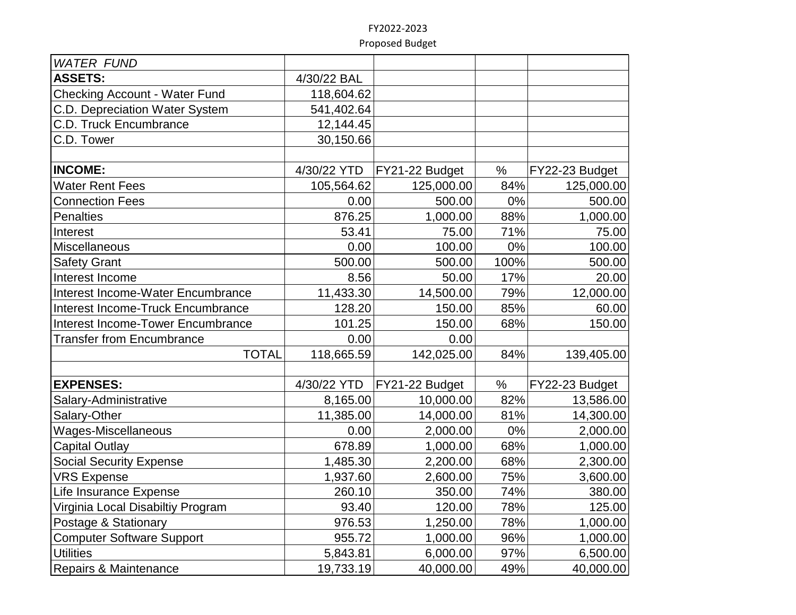| <b>WATER FUND</b>                    |             |                |       |                |
|--------------------------------------|-------------|----------------|-------|----------------|
| <b>ASSETS:</b>                       | 4/30/22 BAL |                |       |                |
| <b>Checking Account - Water Fund</b> | 118,604.62  |                |       |                |
| C.D. Depreciation Water System       | 541,402.64  |                |       |                |
| C.D. Truck Encumbrance               | 12,144.45   |                |       |                |
| C.D. Tower                           | 30,150.66   |                |       |                |
|                                      |             |                |       |                |
| <b>INCOME:</b>                       | 4/30/22 YTD | FY21-22 Budget | $\%$  | FY22-23 Budget |
| <b>Water Rent Fees</b>               | 105,564.62  | 125,000.00     | 84%   | 125,000.00     |
| <b>Connection Fees</b>               | 0.00        | 500.00         | $0\%$ | 500.00         |
| <b>Penalties</b>                     | 876.25      | 1,000.00       | 88%   | 1,000.00       |
| Interest                             | 53.41       | 75.00          | 71%   | 75.00          |
| Miscellaneous                        | 0.00        | 100.00         | $0\%$ | 100.00         |
| <b>Safety Grant</b>                  | 500.00      | 500.00         | 100%  | 500.00         |
| Interest Income                      | 8.56        | 50.00          | 17%   | 20.00          |
| Interest Income-Water Encumbrance    | 11,433.30   | 14,500.00      | 79%   | 12,000.00      |
| Interest Income-Truck Encumbrance    | 128.20      | 150.00         | 85%   | 60.00          |
| Interest Income-Tower Encumbrance    | 101.25      | 150.00         | 68%   | 150.00         |
| <b>Transfer from Encumbrance</b>     | 0.00        | 0.00           |       |                |
| <b>TOTAL</b>                         | 118,665.59  | 142,025.00     | 84%   | 139,405.00     |
|                                      |             |                |       |                |
| <b>EXPENSES:</b>                     | 4/30/22 YTD | FY21-22 Budget | %     | FY22-23 Budget |
| Salary-Administrative                | 8,165.00    | 10,000.00      | 82%   | 13,586.00      |
| Salary-Other                         | 11,385.00   | 14,000.00      | 81%   | 14,300.00      |
| Wages-Miscellaneous                  | 0.00        | 2,000.00       | 0%    | 2,000.00       |
| <b>Capital Outlay</b>                | 678.89      | 1,000.00       | 68%   | 1,000.00       |
| <b>Social Security Expense</b>       | 1,485.30    | 2,200.00       | 68%   | 2,300.00       |
| <b>VRS Expense</b>                   | 1,937.60    | 2,600.00       | 75%   | 3,600.00       |
| Life Insurance Expense               | 260.10      | 350.00         | 74%   | 380.00         |
| Virginia Local Disabiltiy Program    | 93.40       | 120.00         | 78%   | 125.00         |
| Postage & Stationary                 | 976.53      | 1,250.00       | 78%   | 1,000.00       |
| <b>Computer Software Support</b>     | 955.72      | 1,000.00       | 96%   | 1,000.00       |
| <b>Utilities</b>                     | 5,843.81    | 6,000.00       | 97%   | 6,500.00       |
| Repairs & Maintenance                | 19,733.19   | 40,000.00      | 49%   | 40,000.00      |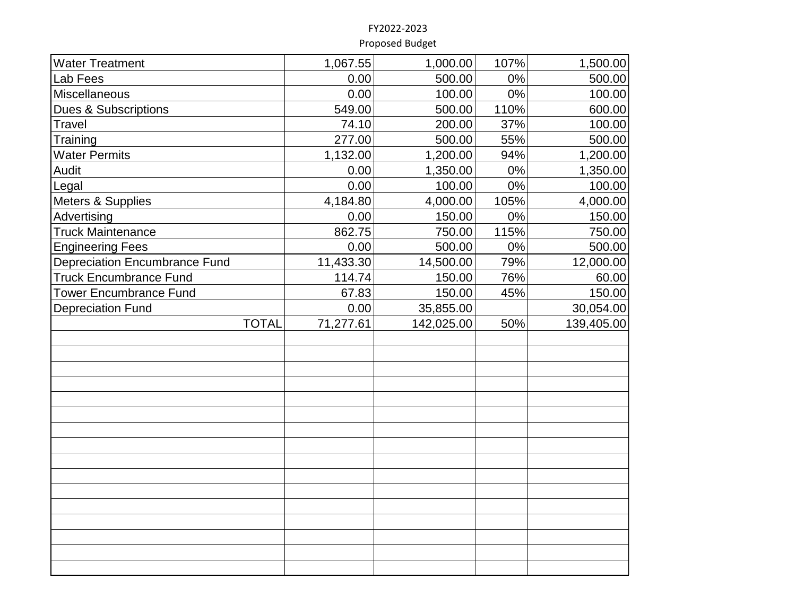| <b>Water Treatment</b>               | 1,067.55  | 1,000.00   | 107%  | 1,500.00   |
|--------------------------------------|-----------|------------|-------|------------|
| Lab Fees                             | 0.00      | 500.00     | 0%    | 500.00     |
| Miscellaneous                        | 0.00      | 100.00     | $0\%$ | 100.00     |
| <b>Dues &amp; Subscriptions</b>      | 549.00    | 500.00     | 110%  | 600.00     |
| <b>Travel</b>                        | 74.10     | 200.00     | 37%   | 100.00     |
| Training                             | 277.00    | 500.00     | 55%   | 500.00     |
| <b>Water Permits</b>                 | 1,132.00  | 1,200.00   | 94%   | 1,200.00   |
| Audit                                | 0.00      | 1,350.00   | 0%    | 1,350.00   |
| Legal                                | 0.00      | 100.00     | 0%    | 100.00     |
| Meters & Supplies                    | 4,184.80  | 4,000.00   | 105%  | 4,000.00   |
| Advertising                          | 0.00      | 150.00     | 0%    | 150.00     |
| <b>Truck Maintenance</b>             | 862.75    | 750.00     | 115%  | 750.00     |
| <b>Engineering Fees</b>              | 0.00      | 500.00     | 0%    | 500.00     |
| <b>Depreciation Encumbrance Fund</b> | 11,433.30 | 14,500.00  | 79%   | 12,000.00  |
| <b>Truck Encumbrance Fund</b>        | 114.74    | 150.00     | 76%   | 60.00      |
| <b>Tower Encumbrance Fund</b>        | 67.83     | 150.00     | 45%   | 150.00     |
| <b>Depreciation Fund</b>             | 0.00      | 35,855.00  |       | 30,054.00  |
| <b>TOTAL</b>                         | 71,277.61 | 142,025.00 | 50%   | 139,405.00 |
|                                      |           |            |       |            |
|                                      |           |            |       |            |
|                                      |           |            |       |            |
|                                      |           |            |       |            |
|                                      |           |            |       |            |
|                                      |           |            |       |            |
|                                      |           |            |       |            |
|                                      |           |            |       |            |
|                                      |           |            |       |            |
|                                      |           |            |       |            |
|                                      |           |            |       |            |
|                                      |           |            |       |            |
|                                      |           |            |       |            |
|                                      |           |            |       |            |
|                                      |           |            |       |            |
|                                      |           |            |       |            |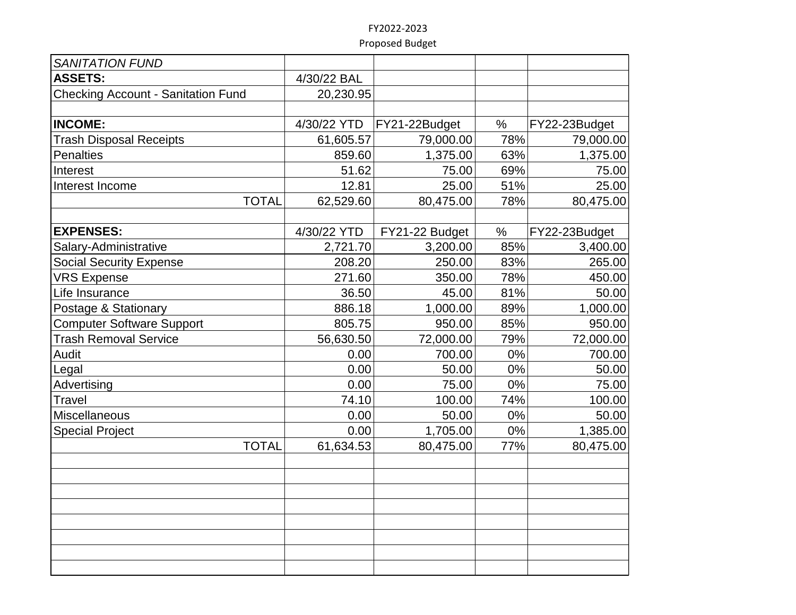| <b>SANITATION FUND</b>                    |             |                |       |               |
|-------------------------------------------|-------------|----------------|-------|---------------|
| <b>ASSETS:</b>                            | 4/30/22 BAL |                |       |               |
| <b>Checking Account - Sanitation Fund</b> | 20,230.95   |                |       |               |
|                                           |             |                |       |               |
| <b>INCOME:</b>                            | 4/30/22 YTD | FY21-22Budget  | %     | FY22-23Budget |
| <b>Trash Disposal Receipts</b>            | 61,605.57   | 79,000.00      | 78%   | 79,000.00     |
| <b>Penalties</b>                          | 859.60      | 1,375.00       | 63%   | 1,375.00      |
| Interest                                  | 51.62       | 75.00          | 69%   | 75.00         |
| Interest Income                           | 12.81       | 25.00          | 51%   | 25.00         |
| <b>TOTAL</b>                              | 62,529.60   | 80,475.00      | 78%   | 80,475.00     |
|                                           |             |                |       |               |
| <b>EXPENSES:</b>                          | 4/30/22 YTD | FY21-22 Budget | $\%$  | FY22-23Budget |
| Salary-Administrative                     | 2,721.70    | 3,200.00       | 85%   | 3,400.00      |
| <b>Social Security Expense</b>            | 208.20      | 250.00         | 83%   | 265.00        |
| <b>VRS Expense</b>                        | 271.60      | 350.00         | 78%   | 450.00        |
| Life Insurance                            | 36.50       | 45.00          | 81%   | 50.00         |
| Postage & Stationary                      | 886.18      | 1,000.00       | 89%   | 1,000.00      |
| <b>Computer Software Support</b>          | 805.75      | 950.00         | 85%   | 950.00        |
| <b>Trash Removal Service</b>              | 56,630.50   | 72,000.00      | 79%   | 72,000.00     |
| Audit                                     | 0.00        | 700.00         | 0%    | 700.00        |
| Legal                                     | 0.00        | 50.00          | 0%    | 50.00         |
| Advertising                               | 0.00        | 75.00          | 0%    | 75.00         |
| <b>Travel</b>                             | 74.10       | 100.00         | 74%   | 100.00        |
| Miscellaneous                             | 0.00        | 50.00          | $0\%$ | 50.00         |
| <b>Special Project</b>                    | 0.00        | 1,705.00       | $0\%$ | 1,385.00      |
| <b>TOTAL</b>                              | 61,634.53   | 80,475.00      | 77%   | 80,475.00     |
|                                           |             |                |       |               |
|                                           |             |                |       |               |
|                                           |             |                |       |               |
|                                           |             |                |       |               |
|                                           |             |                |       |               |
|                                           |             |                |       |               |
|                                           |             |                |       |               |
|                                           |             |                |       |               |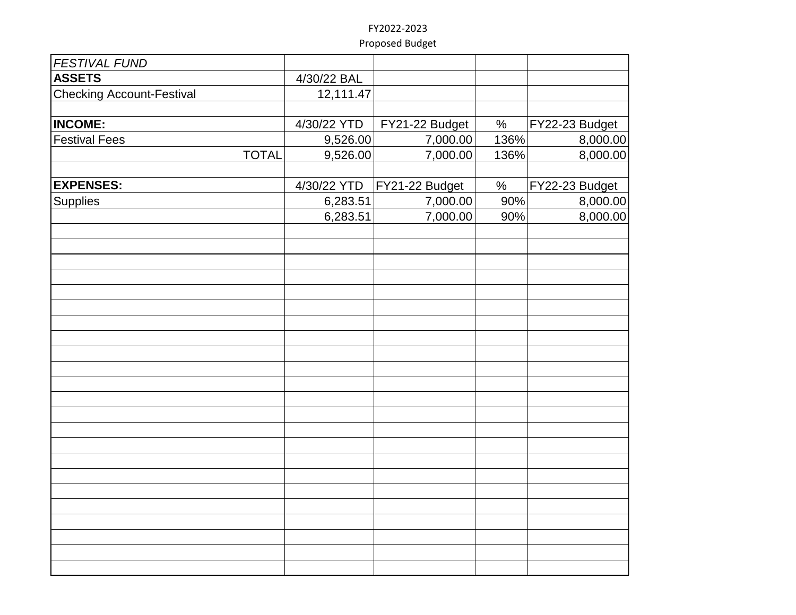| <b>FESTIVAL FUND</b>             |             |                |      |                |
|----------------------------------|-------------|----------------|------|----------------|
| <b>ASSETS</b>                    | 4/30/22 BAL |                |      |                |
| <b>Checking Account-Festival</b> | 12,111.47   |                |      |                |
|                                  |             |                |      |                |
| <b>INCOME:</b>                   | 4/30/22 YTD | FY21-22 Budget | $\%$ | FY22-23 Budget |
| <b>Festival Fees</b>             | 9,526.00    | 7,000.00       | 136% | 8,000.00       |
| <b>TOTAL</b>                     | 9,526.00    | 7,000.00       | 136% | 8,000.00       |
|                                  |             |                |      |                |
| <b>EXPENSES:</b>                 | 4/30/22 YTD | FY21-22 Budget | $\%$ | FY22-23 Budget |
| <b>Supplies</b>                  | 6,283.51    | 7,000.00       | 90%  | 8,000.00       |
|                                  | 6,283.51    | 7,000.00       | 90%  | 8,000.00       |
|                                  |             |                |      |                |
|                                  |             |                |      |                |
|                                  |             |                |      |                |
|                                  |             |                |      |                |
|                                  |             |                |      |                |
|                                  |             |                |      |                |
|                                  |             |                |      |                |
|                                  |             |                |      |                |
|                                  |             |                |      |                |
|                                  |             |                |      |                |
|                                  |             |                |      |                |
|                                  |             |                |      |                |
|                                  |             |                |      |                |
|                                  |             |                |      |                |
|                                  |             |                |      |                |
|                                  |             |                |      |                |
|                                  |             |                |      |                |
|                                  |             |                |      |                |
|                                  |             |                |      |                |
|                                  |             |                |      |                |
|                                  |             |                |      |                |
|                                  |             |                |      |                |
|                                  |             |                |      |                |